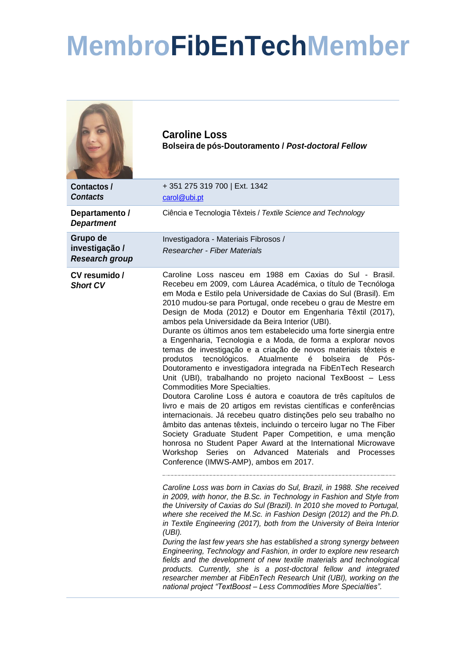## **MembroFibEnTechMember**

|                                                     | <b>Caroline Loss</b><br>Bolseira de pós-Doutoramento / Post-doctoral Fellow                                                                                                                                                                                                                                                                                                                                                                                                                                                                                                                                                                                                                                                                                                                                                                                                                                                                                                                                                                                                                                                                                                                                                                                                                                                                                                                                                                                                                                                                                                                                                                                                                                                                                                                                                                                                                                                                                                                                                                                                                                                                                                          |
|-----------------------------------------------------|--------------------------------------------------------------------------------------------------------------------------------------------------------------------------------------------------------------------------------------------------------------------------------------------------------------------------------------------------------------------------------------------------------------------------------------------------------------------------------------------------------------------------------------------------------------------------------------------------------------------------------------------------------------------------------------------------------------------------------------------------------------------------------------------------------------------------------------------------------------------------------------------------------------------------------------------------------------------------------------------------------------------------------------------------------------------------------------------------------------------------------------------------------------------------------------------------------------------------------------------------------------------------------------------------------------------------------------------------------------------------------------------------------------------------------------------------------------------------------------------------------------------------------------------------------------------------------------------------------------------------------------------------------------------------------------------------------------------------------------------------------------------------------------------------------------------------------------------------------------------------------------------------------------------------------------------------------------------------------------------------------------------------------------------------------------------------------------------------------------------------------------------------------------------------------------|
| <b>Contactos /</b><br><b>Contacts</b>               | +351 275 319 700   Ext. 1342<br>carol@ubi.pt                                                                                                                                                                                                                                                                                                                                                                                                                                                                                                                                                                                                                                                                                                                                                                                                                                                                                                                                                                                                                                                                                                                                                                                                                                                                                                                                                                                                                                                                                                                                                                                                                                                                                                                                                                                                                                                                                                                                                                                                                                                                                                                                         |
| Departamento /<br><b>Department</b>                 | Ciência e Tecnologia Têxteis / Textile Science and Technology                                                                                                                                                                                                                                                                                                                                                                                                                                                                                                                                                                                                                                                                                                                                                                                                                                                                                                                                                                                                                                                                                                                                                                                                                                                                                                                                                                                                                                                                                                                                                                                                                                                                                                                                                                                                                                                                                                                                                                                                                                                                                                                        |
| Grupo de<br>investigação /<br><b>Research group</b> | Investigadora - Materiais Fibrosos /<br>Researcher - Fiber Materials                                                                                                                                                                                                                                                                                                                                                                                                                                                                                                                                                                                                                                                                                                                                                                                                                                                                                                                                                                                                                                                                                                                                                                                                                                                                                                                                                                                                                                                                                                                                                                                                                                                                                                                                                                                                                                                                                                                                                                                                                                                                                                                 |
| CV resumido /<br><b>Short CV</b>                    | Caroline Loss nasceu em 1988 em Caxias do Sul - Brasil.<br>Recebeu em 2009, com Láurea Académica, o título de Tecnóloga<br>em Moda e Estilo pela Universidade de Caxias do Sul (Brasil). Em<br>2010 mudou-se para Portugal, onde recebeu o grau de Mestre em<br>Design de Moda (2012) e Doutor em Engenharia Têxtil (2017),<br>ambos pela Universidade da Beira Interior (UBI).<br>Durante os últimos anos tem estabelecido uma forte sinergia entre<br>a Engenharia, Tecnologia e a Moda, de forma a explorar novos<br>temas de investigação e a criação de novos materiais têxteis e<br>produtos tecnológicos. Atualmente<br>é<br>bolseira<br>de<br>Pós-<br>Doutoramento e investigadora integrada na FibEnTech Research<br>Unit (UBI), trabalhando no projeto nacional TexBoost - Less<br>Commodities More Specialties.<br>Doutora Caroline Loss é autora e coautora de três capítulos de<br>livro e mais de 20 artigos em revistas científicas e conferências<br>internacionais. Já recebeu quatro distinções pelo seu trabalho no<br>âmbito das antenas têxteis, incluindo o terceiro lugar no The Fiber<br>Society Graduate Student Paper Competition, e uma menção<br>honrosa no Student Paper Award at the International Microwave<br>Workshop Series on Advanced Materials and Processes<br>Conference (IMWS-AMP), ambos em 2017.<br>Caroline Loss was born in Caxias do Sul, Brazil, in 1988. She received<br>in 2009, with honor, the B.Sc. in Technology in Fashion and Style from<br>the University of Caxias do Sul (Brazil). In 2010 she moved to Portugal,<br>where she received the M.Sc. in Fashion Design (2012) and the Ph.D.<br>in Textile Engineering (2017), both from the University of Beira Interior<br>(UBI).<br>During the last few years she has established a strong synergy between<br>Engineering, Technology and Fashion, in order to explore new research<br>fields and the development of new textile materials and technological<br>products. Currently, she is a post-doctoral fellow and integrated<br>researcher member at FibEnTech Research Unit (UBI), working on the<br>national project "TextBoost - Less Commodities More Specialties". |